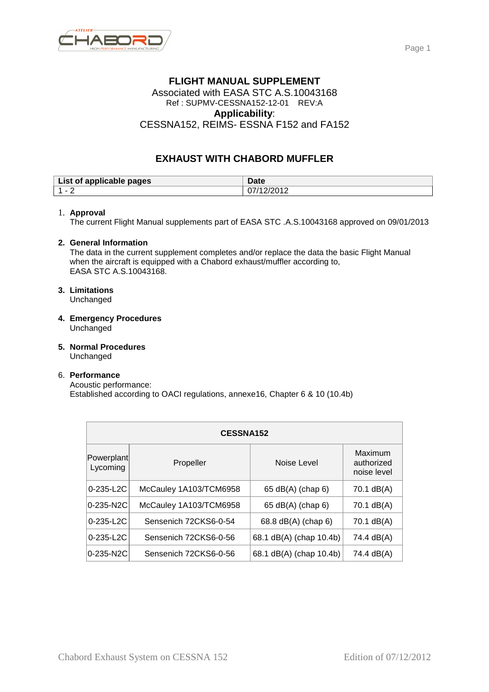

### **FLIGHT MANUAL SUPPLEMENT**  Associated with EASA STC A.S.10043168 Ref : SUPMV-CESSNA152-12-01 REV:A **Applicability**: CESSNA152, REIMS- ESSNA F152 and FA152

# **EXHAUST WITH CHABORD MUFFLER**

| List of applicable pages | <b>Ance</b><br>Dale |
|--------------------------|---------------------|
| л                        | . .                 |
| -                        | ັ                   |

#### 1. **Approval**

The current Flight Manual supplements part of EASA STC .A.S.10043168 approved on 09/01/2013

### **2. General Information**

The data in the current supplement completes and/or replace the data the basic Flight Manual when the aircraft is equipped with a Chabord exhaust/muffler according to, EASA STC A.S.10043168.

## **3. Limitations**

Unchanged

- **4. Emergency Procedures**  Unchanged
- **5. Normal Procedures**  Unchanged

### 6. **Performance**

Acoustic performance: Established according to OACI regulations, annexe16, Chapter 6 & 10 (10.4b)

| <b>CESSNA152</b>       |                        |                         |                                      |  |  |
|------------------------|------------------------|-------------------------|--------------------------------------|--|--|
| Powerplant<br>Lycoming | Propeller              | Noise Level             | Maximum<br>authorized<br>noise level |  |  |
| $0 - 235 - L2C$        | McCauley 1A103/TCM6958 | 65 dB(A) (chap 6)       | 70.1 dB(A)                           |  |  |
| 0-235-N2C              | McCauley 1A103/TCM6958 | 65 dB(A) (chap 6)       | 70.1 dB(A)                           |  |  |
| $0 - 235 - L2C$        | Sensenich 72CKS6-0-54  | 68.8 dB(A) (chap 6)     | 70.1 dB(A)                           |  |  |
| 0-235-L2C              | Sensenich 72CKS6-0-56  | 68.1 dB(A) (chap 10.4b) | 74.4 dB(A)                           |  |  |
| 0-235-N2C              | Sensenich 72CKS6-0-56  | 68.1 dB(A) (chap 10.4b) | 74.4 dB(A)                           |  |  |